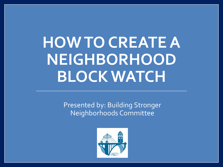# **HOW TO CREATE A NEIGHBORHOOD BLOCK WATCH**

Presented by: Building Stronger Neighborhoods Committee

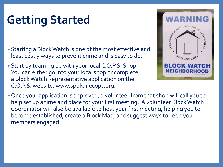## **Getting Started**

- Starting a Block Watch is one of the most effective and least costly ways to prevent crime and is easy to do.
- Start by teaming up with your local C.O.P.S. Shop. You can either go into your local shop or complete a Block Watch Representative application on the C.O.P.S. website, www.spokanecops.org.



• Once your application is approved, a volunteer from that shop will call you to help set up a time and place for your first meeting. A volunteer Block Watch Coordinator will also be available to host your first meeting, helping you to become established, create a Block Map, and suggest ways to keep your members engaged.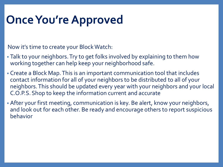## **Once You're Approved**

Now it's time to create your Block Watch:

- Talk to your neighbors. Try to get folks involved by explaining to them how working together can help keep your neighborhood safe.
- Create a Block Map. This is an important communication tool that includes contact information for all of your neighbors to be distributed to all of your neighbors. This should be updated every year with your neighbors and your local C.O.P.S. Shop to keep the information current and accurate
- After your first meeting, communication is key. Be alert, know your neighbors, and look out for each other. Be ready and encourage others to report suspicious behavior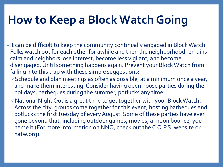### **How to Keep a Block Watch Going**

- It can be difficult to keep the community continually engaged in Block Watch. Folks watch out for each other for awhile and then the neighborhood remains calm and neighbors lose interest, become less vigilant, and become disengaged. Until something happens again. Prevent your Block Watch from falling into this trap with these simple suggestions:
	- $\checkmark$  Schedule and plan meetings as often as possible, at a minimum once a year, and make them interesting. Consider having open house parties during the holidays, barbeques during the summer, potlucks any time
	- National Night Out is a great time to get together with your Block Watch. Across the city, groups come together for this event, hosting barbeques and potlucks the first Tuesday of every August. Some of these parties have even gone beyond that, including outdoor games, movies, a moon bounce, you name it (For more information on NNO, check out the C.O.P.S. website or natw.org).